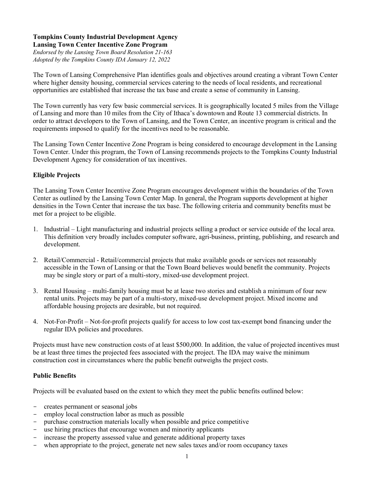#### **Tompkins County Industrial Development Agency Lansing Town Center Incentive Zone Program**

*Endorsed by the Lansing Town Board Resolution 21-163 Adopted by the Tompkins County IDA January 12, 2022*

The Town of Lansing Comprehensive Plan identifies goals and objectives around creating a vibrant Town Center where higher density housing, commercial services catering to the needs of local residents, and recreational opportunities are established that increase the tax base and create a sense of community in Lansing.

The Town currently has very few basic commercial services. It is geographically located 5 miles from the Village of Lansing and more than 10 miles from the City of Ithaca's downtown and Route 13 commercial districts. In order to attract developers to the Town of Lansing, and the Town Center, an incentive program is critical and the requirements imposed to qualify for the incentives need to be reasonable.

The Lansing Town Center Incentive Zone Program is being considered to encourage development in the Lansing Town Center. Under this program, the Town of Lansing recommends projects to the Tompkins County Industrial Development Agency for consideration of tax incentives.

# **Eligible Projects**

The Lansing Town Center Incentive Zone Program encourages development within the boundaries of the Town Center as outlined by the Lansing Town Center Map. In general, the Program supports development at higher densities in the Town Center that increase the tax base. The following criteria and community benefits must be met for a project to be eligible.

- 1. Industrial Light manufacturing and industrial projects selling a product or service outside of the local area. This definition very broadly includes computer software, agri-business, printing, publishing, and research and development.
- 2. Retail/Commercial Retail/commercial projects that make available goods or services not reasonably accessible in the Town of Lansing or that the Town Board believes would benefit the community. Projects may be single story or part of a multi-story, mixed-use development project.
- 3. Rental Housing multi-family housing must be at lease two stories and establish a minimum of four new rental units. Projects may be part of a multi-story, mixed-use development project. Mixed income and affordable housing projects are desirable, but not required.
- 4. Not-For-Profit Not-for-profit projects qualify for access to low cost tax-exempt bond financing under the regular IDA policies and procedures.

Projects must have new construction costs of at least \$500,000. In addition, the value of projected incentives must be at least three times the projected fees associated with the project. The IDA may waive the minimum construction cost in circumstances where the public benefit outweighs the project costs.

# **Public Benefits**

Projects will be evaluated based on the extent to which they meet the public benefits outlined below:

- creates permanent or seasonal jobs
- employ local construction labor as much as possible
- purchase construction materials locally when possible and price competitive
- use hiring practices that encourage women and minority applicants
- increase the property assessed value and generate additional property taxes
- when appropriate to the project, generate net new sales taxes and/or room occupancy taxes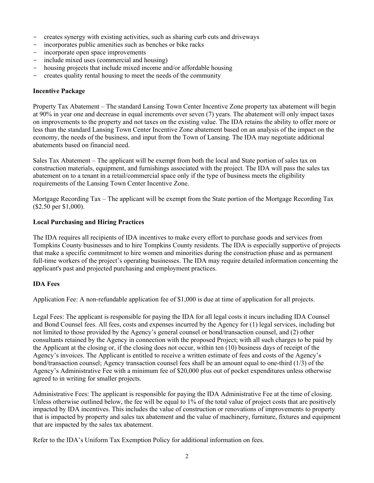- creates synergy with existing activities, such as sharing curb cuts and driveways
- incorporates public amenities such as benches or bike racks
- incorporate open space improvements
- include mixed uses (commercial and housing)
- housing projects that include mixed income and/or affordable housing
- creates quality rental housing to meet the needs of the community

## **Incentive Package**

Property Tax Abatement – The standard Lansing Town Center Incentive Zone property tax abatement will begin at 90% in year one and decrease in equal increments over seven (7) years. The abatement will only impact taxes on improvements to the property and not taxes on the existing value. The IDA retains the ability to offer more or less than the standard Lansing Town Center Incentive Zone abatement based on an analysis of the impact on the economy, the needs of the business, and input from the Town of Lansing. The IDA may negotiate additional abatements based on financial need.

Sales Tax Abatement – The applicant will be exempt from both the local and State portion of sales tax on construction materials, equipment, and furnishings associated with the project. The IDA will pass the sales tax abatement on to a tenant in a retail/commercial space only if the type of business meets the eligibility requirements of the Lansing Town Center Incentive Zone.

Mortgage Recording Tax – The applicant will be exempt from the State portion of the Mortgage Recording Tax (\$2.50 per \$1,000).

#### **Local Purchasing and Hiring Practices**

The IDA requires all recipients of IDA incentives to make every effort to purchase goods and services from Tompkins County businesses and to hire Tompkins County residents. The IDA is especially supportive of projects that make a specific commitment to hire women and minorities during the construction phase and as permanent full-time workers of the project's operating businesses. The IDA may require detailed information concerning the applicant's past and projected purchasing and employment practices.

# **IDA Fees**

Application Fee: A non-refundable application fee of \$1,000 is due at time of application for all projects.

Legal Fees: The applicant is responsible for paying the IDA for all legal costs it incurs including IDA Counsel and Bond Counsel fees. All fees, costs and expenses incurred by the Agency for (1) legal services, including but not limited to those provided by the Agency's general counsel or bond/transaction counsel, and (2) other consultants retained by the Agency in connection with the proposed Project; with all such charges to be paid by the Applicant at the closing or, if the closing does not occur, within ten (10) business days of receipt of the Agency's invoices. The Applicant is entitled to receive a written estimate of fees and costs of the Agency's bond/transaction counsel; Agency transaction counsel fees shall be an amount equal to one-third (1/3) of the Agency's Administrative Fee with a minimum fee of \$20,000 plus out of pocket expenditures unless otherwise agreed to in writing for smaller projects.

Administrative Fees: The applicant is responsible for paying the IDA Administrative Fee at the time of closing. Unless otherwise outlined below, the fee will be equal to 1% of the total value of project costs that are positively impacted by IDA incentives. This includes the value of construction or renovations of improvements to property that is impacted by property and sales tax abatement and the value of machinery, furniture, fixtures and equipment that are impacted by the sales tax abatement.

Refer to the IDA's Uniform Tax Exemption Policy for additional information on fees.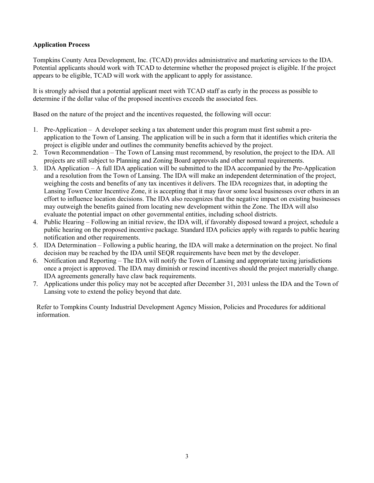## **Application Process**

Tompkins County Area Development, Inc. (TCAD) provides administrative and marketing services to the IDA. Potential applicants should work with TCAD to determine whether the proposed project is eligible. If the project appears to be eligible, TCAD will work with the applicant to apply for assistance.

It is strongly advised that a potential applicant meet with TCAD staff as early in the process as possible to determine if the dollar value of the proposed incentives exceeds the associated fees.

Based on the nature of the project and the incentives requested, the following will occur:

- 1. Pre-Application A developer seeking a tax abatement under this program must first submit a preapplication to the Town of Lansing. The application will be in such a form that it identifies which criteria the project is eligible under and outlines the community benefits achieved by the project.
- 2. Town Recommendation The Town of Lansing must recommend, by resolution, the project to the IDA. All projects are still subject to Planning and Zoning Board approvals and other normal requirements.
- 3. IDA Application A full IDA application will be submitted to the IDA accompanied by the Pre-Application and a resolution from the Town of Lansing. The IDA will make an independent determination of the project, weighing the costs and benefits of any tax incentives it delivers. The IDA recognizes that, in adopting the Lansing Town Center Incentive Zone, it is accepting that it may favor some local businesses over others in an effort to influence location decisions. The IDA also recognizes that the negative impact on existing businesses may outweigh the benefits gained from locating new development within the Zone. The IDA will also evaluate the potential impact on other governmental entities, including school districts.
- 4. Public Hearing Following an initial review, the IDA will, if favorably disposed toward a project, schedule a public hearing on the proposed incentive package. Standard IDA policies apply with regards to public hearing notification and other requirements.
- 5. IDA Determination Following a public hearing, the IDA will make a determination on the project. No final decision may be reached by the IDA until SEQR requirements have been met by the developer.
- 6. Notification and Reporting The IDA will notify the Town of Lansing and appropriate taxing jurisdictions once a project is approved. The IDA may diminish or rescind incentives should the project materially change. IDA agreements generally have claw back requirements.
- 7. Applications under this policy may not be accepted after December 31, 2031 unless the IDA and the Town of Lansing vote to extend the policy beyond that date.

Refer to Tompkins County Industrial Development Agency Mission, Policies and Procedures for additional information.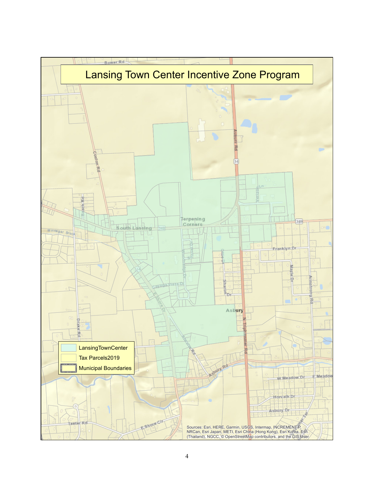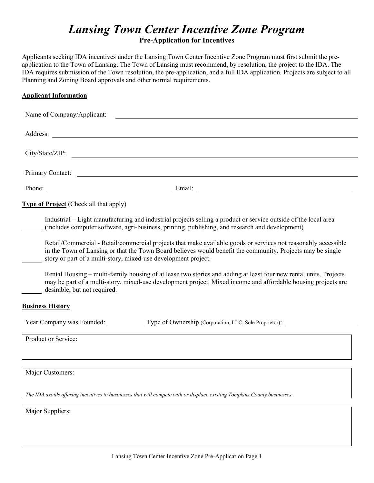# *Lansing Town Center Incentive Zone Program* **Pre-Application for Incentives**

Applicants seeking IDA incentives under the Lansing Town Center Incentive Zone Program must first submit the preapplication to the Town of Lansing. The Town of Lansing must recommend, by resolution, the project to the IDA. The IDA requires submission of the Town resolution, the pre-application, and a full IDA application. Projects are subject to all Planning and Zoning Board approvals and other normal requirements.

## **Applicant Information**

| Name of Company/Applicant:                    |                                                                                                                                                                                                                                                                                                |  |  |  |
|-----------------------------------------------|------------------------------------------------------------------------------------------------------------------------------------------------------------------------------------------------------------------------------------------------------------------------------------------------|--|--|--|
|                                               | Address: <u>the contract of the contract of the contract of the contract of the contract of the contract of the contract of the contract of the contract of the contract of the contract of the contract of the contract of the </u>                                                           |  |  |  |
| City/State/ZIP:                               | <u> 1989 - Jan Samuel Barbara, martin da shekara tsara 1989 - An tsara 1989 - An tsara 1989 - An tsara 1989 - An</u>                                                                                                                                                                           |  |  |  |
|                                               | Primary Contact:                                                                                                                                                                                                                                                                               |  |  |  |
|                                               | Phone: Email: Email: Email: 2008. Email: 2008. Email: 2008. Email: 2008. Email: 2008. Email: 2008. Email: 2008. Email: 2008. Email: 2008. Email: 2008. Email: 2008. Email: 2008. Email: 2008. Email: 2008. Email: 2008. Email:                                                                 |  |  |  |
| <b>Type of Project</b> (Check all that apply) |                                                                                                                                                                                                                                                                                                |  |  |  |
|                                               | Industrial – Light manufacturing and industrial projects selling a product or service outside of the local area<br>(includes computer software, agri-business, printing, publishing, and research and development)                                                                             |  |  |  |
|                                               | Retail/Commercial - Retail/commercial projects that make available goods or services not reasonably accessible<br>in the Town of Lansing or that the Town Board believes would benefit the community. Projects may be single<br>story or part of a multi-story, mixed-use development project. |  |  |  |
| desirable, but not required.                  | Rental Housing – multi-family housing of at lease two stories and adding at least four new rental units. Projects<br>may be part of a multi-story, mixed-use development project. Mixed income and affordable housing projects are                                                             |  |  |  |
| <b>Business History</b>                       |                                                                                                                                                                                                                                                                                                |  |  |  |
|                                               | Year Company was Founded: Type of Ownership (Corporation, LLC, Sole Proprietor):                                                                                                                                                                                                               |  |  |  |
| Product or Service:                           |                                                                                                                                                                                                                                                                                                |  |  |  |
| Major Customers:                              |                                                                                                                                                                                                                                                                                                |  |  |  |
|                                               | The IDA avoids offering incentives to businesses that will compete with or displace existing Tompkins County businesses.                                                                                                                                                                       |  |  |  |
| Major Suppliers:                              |                                                                                                                                                                                                                                                                                                |  |  |  |
|                                               |                                                                                                                                                                                                                                                                                                |  |  |  |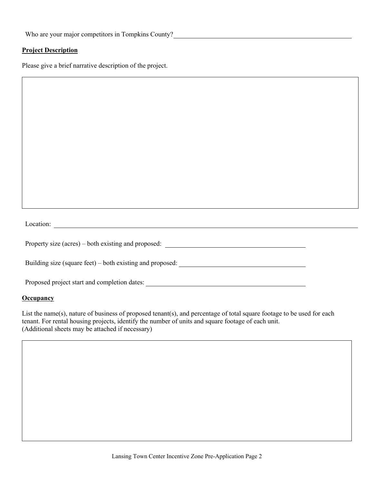Who are your major competitors in Tompkins County?

#### **Project Description**

Please give a brief narrative description of the project.

Location: <u>Location:</u>

Property size (acres) – both existing and proposed:

Building size (square feet) – both existing and proposed: \_\_\_\_\_\_\_\_\_\_\_\_\_\_\_\_\_\_\_\_\_\_\_

Proposed project start and completion dates:

#### **Occupancy**

List the name(s), nature of business of proposed tenant(s), and percentage of total square footage to be used for each tenant. For rental housing projects, identify the number of units and square footage of each unit. (Additional sheets may be attached if necessary)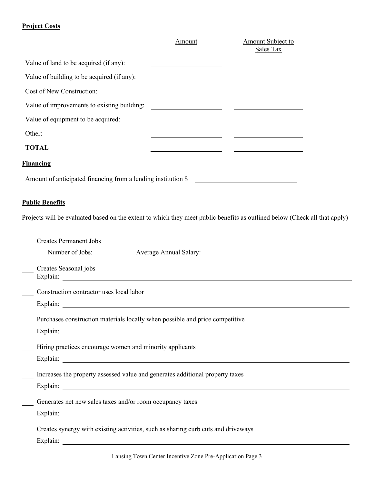# **Project Costs**

|                                                               | Amount | Amount Subject to<br>Sales Tax |  |
|---------------------------------------------------------------|--------|--------------------------------|--|
| Value of land to be acquired (if any):                        |        |                                |  |
| Value of building to be acquired (if any):                    |        |                                |  |
| Cost of New Construction:                                     |        |                                |  |
| Value of improvements to existing building:                   |        |                                |  |
| Value of equipment to be acquired:                            |        |                                |  |
| Other:                                                        |        |                                |  |
| <b>TOTAL</b>                                                  |        |                                |  |
| <b>Financing</b>                                              |        |                                |  |
| Amount of anticipated financing from a lending institution \$ |        |                                |  |

# **Public Benefits**

Projects will be evaluated based on the extent to which they meet public benefits as outlined below (Check all that apply)

| <b>Creates Permanent Jobs</b>                                                     |
|-----------------------------------------------------------------------------------|
| Number of Jobs: ____________________ Average Annual Salary: ____________________  |
| Creates Seasonal jobs                                                             |
|                                                                                   |
| Construction contractor uses local labor                                          |
|                                                                                   |
| Purchases construction materials locally when possible and price competitive      |
|                                                                                   |
| Hiring practices encourage women and minority applicants                          |
| Explain:                                                                          |
| Increases the property assessed value and generates additional property taxes     |
|                                                                                   |
| Generates net new sales taxes and/or room occupancy taxes                         |
| Explain:                                                                          |
| Creates synergy with existing activities, such as sharing curb cuts and driveways |
| Explain:                                                                          |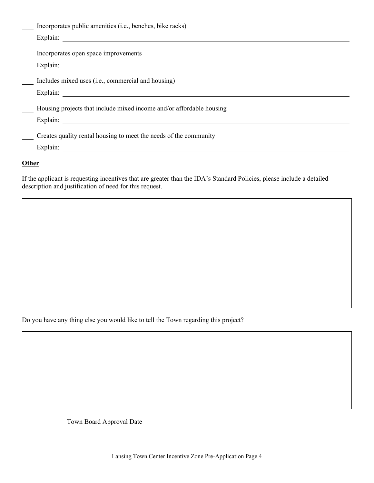| Incorporates public amenities (i.e., benches, bike racks)                                                                                                                                                                      |
|--------------------------------------------------------------------------------------------------------------------------------------------------------------------------------------------------------------------------------|
| Explain:                                                                                                                                                                                                                       |
|                                                                                                                                                                                                                                |
| Incorporates open space improvements                                                                                                                                                                                           |
| Explain: The Common Common Common Common Common Common Common Common Common Common Common Common Common Common Common Common Common Common Common Common Common Common Common Common Common Common Common Common Common Common |
|                                                                                                                                                                                                                                |
| Includes mixed uses (i.e., commercial and housing)                                                                                                                                                                             |
| Explain:                                                                                                                                                                                                                       |
|                                                                                                                                                                                                                                |
| Housing projects that include mixed income and/or affordable housing                                                                                                                                                           |
| Explain:<br><u> 1989 - Johann Stein, fransk politik (f. 1989)</u>                                                                                                                                                              |
|                                                                                                                                                                                                                                |
| Creates quality rental housing to meet the needs of the community                                                                                                                                                              |
| Explain:                                                                                                                                                                                                                       |
|                                                                                                                                                                                                                                |

## **Other**

If the applicant is requesting incentives that are greater than the IDA's Standard Policies, please include a detailed description and justification of need for this request.

Do you have any thing else you would like to tell the Town regarding this project?

Town Board Approval Date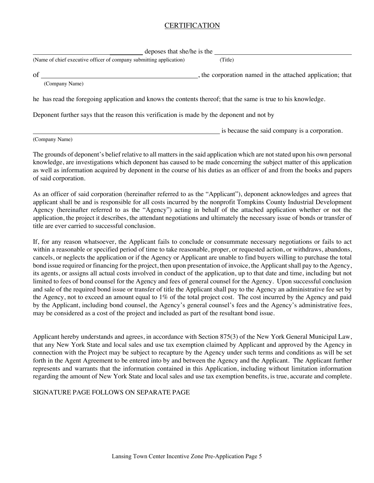# CERTIFICATION

| deposes that she/he is the                                                                                    |                                                           |  |  |  |
|---------------------------------------------------------------------------------------------------------------|-----------------------------------------------------------|--|--|--|
| (Name of chief executive officer of company submitting application)                                           | (Title)                                                   |  |  |  |
| of                                                                                                            | , the corporation named in the attached application; that |  |  |  |
| (Company Name)                                                                                                |                                                           |  |  |  |
| he has read the foregoing application and knows the contents thereof; that the same is true to his knowledge. |                                                           |  |  |  |
| Deponent further says that the reason this verification is made by the deponent and not by                    |                                                           |  |  |  |
|                                                                                                               | is because the said company is a corporation.             |  |  |  |

(Company Name)

The grounds of deponent's belief relative to all matters in the said application which are not stated upon his own personal knowledge, are investigations which deponent has caused to be made concerning the subject matter of this application as well as information acquired by deponent in the course of his duties as an officer of and from the books and papers of said corporation.

As an officer of said corporation (hereinafter referred to as the "Applicant"), deponent acknowledges and agrees that applicant shall be and is responsible for all costs incurred by the nonprofit Tompkins County Industrial Development Agency (hereinafter referred to as the "Agency") acting in behalf of the attached application whether or not the application, the project it describes, the attendant negotiations and ultimately the necessary issue of bonds or transfer of title are ever carried to successful conclusion.

If, for any reason whatsoever, the Applicant fails to conclude or consummate necessary negotiations or fails to act within a reasonable or specified period of time to take reasonable, proper, or requested action, or withdraws, abandons, cancels, or neglects the application or if the Agency or Applicant are unable to find buyers willing to purchase the total bond issue required or financing for the project, then upon presentation of invoice, the Applicant shall pay to the Agency, its agents, or assigns all actual costs involved in conduct of the application, up to that date and time, including but not limited to fees of bond counsel for the Agency and fees of general counsel for the Agency. Upon successful conclusion and sale of the required bond issue or transfer of title the Applicant shall pay to the Agency an administrative fee set by the Agency, not to exceed an amount equal to 1% of the total project cost. The cost incurred by the Agency and paid by the Applicant, including bond counsel, the Agency's general counsel's fees and the Agency's administrative fees, may be considered as a cost of the project and included as part of the resultant bond issue.

Applicant hereby understands and agrees, in accordance with Section 875(3) of the New York General Municipal Law, that any New York State and local sales and use tax exemption claimed by Applicant and approved by the Agency in connection with the Project may be subject to recapture by the Agency under such terms and conditions as will be set forth in the Agent Agreement to be entered into by and between the Agency and the Applicant. The Applicant further represents and warrants that the information contained in this Application, including without limitation information regarding the amount of New York State and local sales and use tax exemption benefits, is true, accurate and complete.

#### SIGNATURE PAGE FOLLOWS ON SEPARATE PAGE